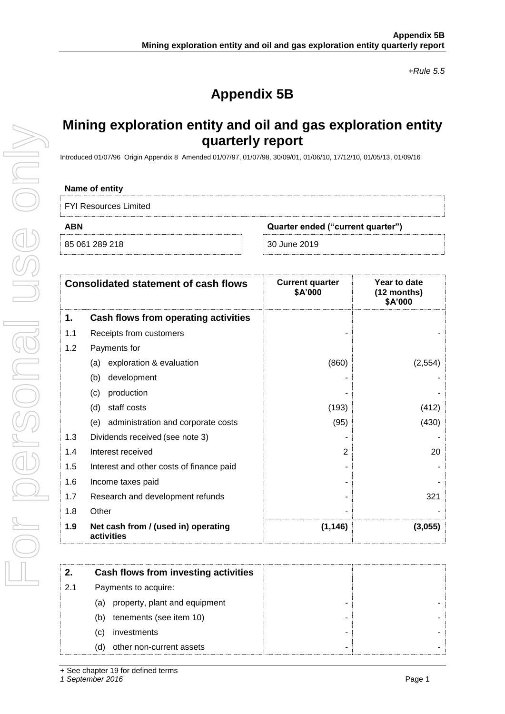*+Rule 5.5*

# **Appendix 5B**

## **Mining exploration entity and oil and gas exploration entity quarterly report**

Introduced 01/07/96 Origin Appendix 8 Amended 01/07/97, 01/07/98, 30/09/01, 01/06/10, 17/12/10, 01/05/13, 01/09/16

### **Name of entity**

| <b>FYI Resources Limited</b> |  |
|------------------------------|--|
|------------------------------|--|

|  | 85 061 289 218 |  |
|--|----------------|--|

**ABN Quarter ended ("current quarter")**

85 061 289 218 30 June 2019

|     | <b>Consolidated statement of cash flows</b>       | <b>Current quarter</b><br>\$A'000 | Year to date<br>(12 months)<br>\$A'000 |
|-----|---------------------------------------------------|-----------------------------------|----------------------------------------|
| 1.  | Cash flows from operating activities              |                                   |                                        |
| 1.1 | Receipts from customers                           |                                   |                                        |
| 1.2 | Payments for                                      |                                   |                                        |
|     | exploration & evaluation<br>(a)                   | (860)                             | (2, 554)                               |
|     | development<br>(b)                                |                                   |                                        |
|     | production<br>(c)                                 |                                   |                                        |
|     | staff costs<br>(d)                                | (193)                             | (412)                                  |
|     | administration and corporate costs<br>(e)         | (95)                              | (430)                                  |
| 1.3 | Dividends received (see note 3)                   |                                   |                                        |
| 1.4 | Interest received                                 | $\mathbf{2}$                      | 20                                     |
| 1.5 | Interest and other costs of finance paid          |                                   |                                        |
| 1.6 | Income taxes paid                                 |                                   |                                        |
| 1.7 | Research and development refunds                  |                                   | 321                                    |
| 1.8 | Other                                             |                                   |                                        |
| 1.9 | Net cash from / (used in) operating<br>activities | (1, 146)                          | (3,055)                                |

|     | Cash flows from investing activities |
|-----|--------------------------------------|
| 2.1 | Payments to acquire:                 |
|     | property, plant and equipment<br>(a) |
|     | tenements (see item 10)<br>(b)       |
|     | investments<br>(C)                   |
|     | other non-current assets<br>(d)      |

*1 September 2016* Page 1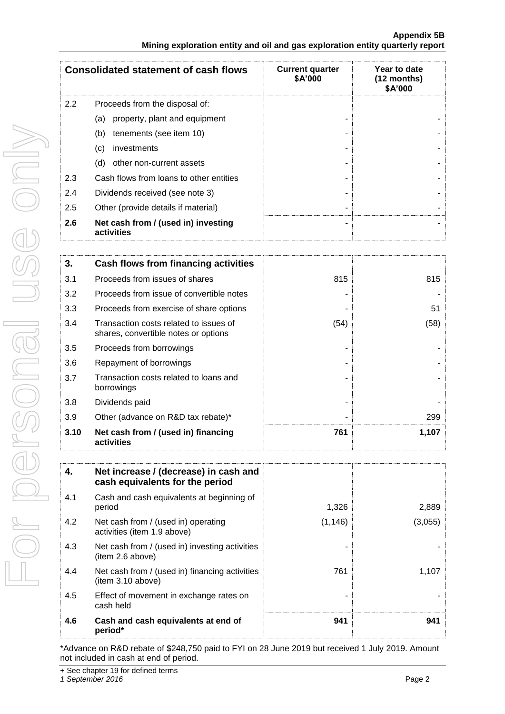|     | <b>Consolidated statement of cash flows</b>       | <b>Current quarter</b><br>\$A'000 | Year to date<br>$(12$ months)<br>\$A'000 |
|-----|---------------------------------------------------|-----------------------------------|------------------------------------------|
| 2.2 | Proceeds from the disposal of:                    |                                   |                                          |
|     | property, plant and equipment<br>(a)              |                                   |                                          |
|     | (b)<br>tenements (see item 10)                    |                                   |                                          |
|     | (c)<br>investments                                |                                   |                                          |
|     | (d)<br>other non-current assets                   |                                   |                                          |
| 2.3 | Cash flows from loans to other entities           |                                   |                                          |
| 2.4 | Dividends received (see note 3)                   |                                   |                                          |
| 2.5 | Other (provide details if material)               |                                   |                                          |
| 2.6 | Net cash from / (used in) investing<br>activities |                                   |                                          |

| 3.   | Cash flows from financing activities                                           |      |       |
|------|--------------------------------------------------------------------------------|------|-------|
| 3.1  | Proceeds from issues of shares                                                 | 815  | 815   |
| 3.2  | Proceeds from issue of convertible notes                                       |      |       |
| 3.3  | Proceeds from exercise of share options                                        |      | 51    |
| 3.4  | Transaction costs related to issues of<br>shares, convertible notes or options | (54) | (58)  |
| 3.5  | Proceeds from borrowings                                                       |      |       |
| 3.6  | Repayment of borrowings                                                        |      |       |
| 3.7  | Transaction costs related to loans and<br>borrowings                           |      |       |
| 3.8  | Dividends paid                                                                 |      |       |
| 3.9  | Other (advance on R&D tax rebate)*                                             |      | 299   |
| 3.10 | Net cash from / (used in) financing<br>activities                              | 761  | 1,107 |

| 4.  | Net increase / (decrease) in cash and<br>cash equivalents for the period |          |         |
|-----|--------------------------------------------------------------------------|----------|---------|
| 4.1 | Cash and cash equivalents at beginning of<br>period                      | 1,326    | 2,889   |
| 4.2 | Net cash from / (used in) operating<br>activities (item 1.9 above)       | (1, 146) | (3,055) |
| 4.3 | Net cash from / (used in) investing activities<br>(item 2.6 above)       |          |         |
| 4.4 | Net cash from / (used in) financing activities<br>(item 3.10 above)      | 761      | 1,107   |
| 4.5 | Effect of movement in exchange rates on<br>cash held                     |          |         |
| 4.6 | Cash and cash equivalents at end of<br>period*                           | 941      | 941     |

\*Advance on R&D rebate of \$248,750 paid to FYI on 28 June 2019 but received 1 July 2019. Amount not included in cash at end of period.

+ See chapter 19 for defined terms

*1 September 2016* Page 2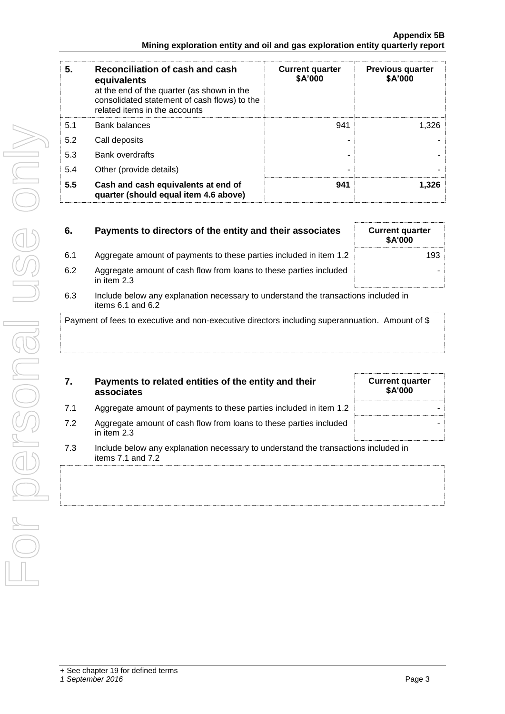| 5.  | Reconciliation of cash and cash<br>equivalents<br>at the end of the quarter (as shown in the<br>consolidated statement of cash flows) to the<br>related items in the accounts | <b>Current quarter</b><br>\$A'000 | <b>Previous quarter</b><br>\$A'000 |
|-----|-------------------------------------------------------------------------------------------------------------------------------------------------------------------------------|-----------------------------------|------------------------------------|
| 5.1 | <b>Bank balances</b>                                                                                                                                                          | 941                               | 1.326                              |
| 5.2 | Call deposits                                                                                                                                                                 |                                   |                                    |
| 5.3 | <b>Bank overdrafts</b>                                                                                                                                                        |                                   |                                    |
| 5.4 | Other (provide details)                                                                                                                                                       | ۰                                 |                                    |
| 5.5 | Cash and cash equivalents at end of<br>quarter (should equal item 4.6 above)                                                                                                  | 941                               | 1,326                              |

| 6.  | Payments to directors of the entity and their associates                            | <b>Current quarter</b><br>\$A'000 |
|-----|-------------------------------------------------------------------------------------|-----------------------------------|
| 6.1 | Aggregate amount of payments to these parties included in item 1.2                  | 193                               |
| 6.2 | Aggregate amount of cash flow from loans to these parties included<br>in item $2.3$ |                                   |
| 63  | Include below any explanation necessary to understand the transactions included in  |                                   |

6.3 Include below any explanation necessary to understand the transactions included in items 6.1 and 6.2

Payment of fees to executive and non-executive directors including superannuation. Amount of \$

| 7. | Payments to related entities of the entity and their |
|----|------------------------------------------------------|
|    | associates                                           |

| 7.  | Payments to related entities of the entity and their<br>associates                | <b>Current quarter</b><br><b>\$A'000</b> |
|-----|-----------------------------------------------------------------------------------|------------------------------------------|
| 7.1 | Aggregate amount of payments to these parties included in item 1.2                |                                          |
| 7.2 | Aggregate amount of cash flow from loans to these parties included<br>in item 2.3 |                                          |

7.3 Include below any explanation necessary to understand the transactions included in items 7.1 and 7.2

+ See chapter 19 for defined terms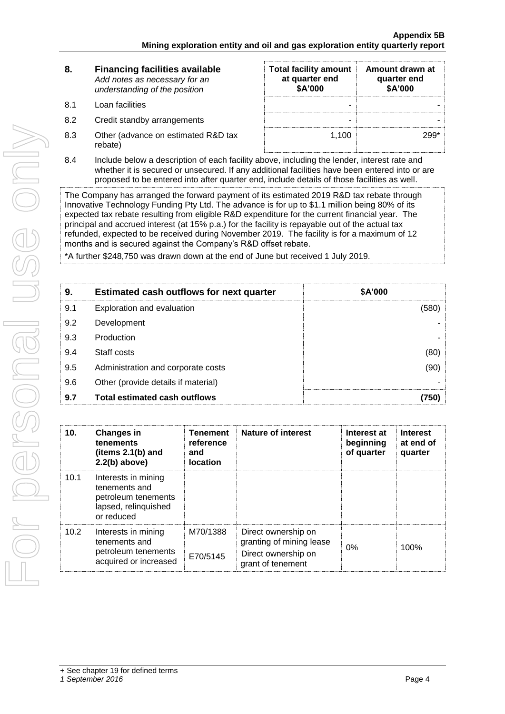| 8.  | <b>Financing facilities available</b><br>Add notes as necessary for an<br>understanding of the position | <b>Total facility amount</b><br>at quarter end<br>\$A'000 | Amount drawn at<br>quarter end<br>\$A'000 |
|-----|---------------------------------------------------------------------------------------------------------|-----------------------------------------------------------|-------------------------------------------|
| 8.1 | Loan facilities                                                                                         | -                                                         |                                           |
| 8.2 | Credit standby arrangements                                                                             | -                                                         |                                           |
| 8.3 | Other (advance on estimated R&D tax<br>rebate)                                                          | 1.100                                                     | 299*                                      |

8.4 Include below a description of each facility above, including the lender, interest rate and whether it is secured or unsecured. If any additional facilities have been entered into or are proposed to be entered into after quarter end, include details of those facilities as well.

The Company has arranged the forward payment of its estimated 2019 R&D tax rebate through Innovative Technology Funding Pty Ltd. The advance is for up to \$1.1 million being 80% of its expected tax rebate resulting from eligible R&D expenditure for the current financial year. The principal and accrued interest (at 15% p.a.) for the facility is repayable out of the actual tax refunded, expected to be received during November 2019. The facility is for a maximum of 12 months and is secured against the Company's R&D offset rebate.

\*A further \$248,750 was drawn down at the end of June but received 1 July 2019.

| 9.  | <b>Estimated cash outflows for next quarter</b> | \$A'000 |
|-----|-------------------------------------------------|---------|
| 9.1 | Exploration and evaluation                      | (580)   |
| 9.2 | Development                                     |         |
| 9.3 | Production                                      |         |
| 9.4 | Staff costs                                     | (80)    |
| 9.5 | Administration and corporate costs              | (90)    |
| 9.6 | Other (provide details if material)             |         |
| 9.7 | <b>Total estimated cash outflows</b>            | (750)   |

| 10 <sub>1</sub> | <b>Changes in</b><br>tenements<br>(items 2.1(b) and<br>$2.2(b)$ above)                            | <b>Tenement</b><br>reference<br>and<br><b>location</b> | Nature of interest                                                                          | Interest at<br>beginning<br>of quarter | <b>Interest</b><br>at end of<br>quarter |
|-----------------|---------------------------------------------------------------------------------------------------|--------------------------------------------------------|---------------------------------------------------------------------------------------------|----------------------------------------|-----------------------------------------|
| 10.1            | Interests in mining<br>tenements and<br>petroleum tenements<br>lapsed, relinquished<br>or reduced |                                                        |                                                                                             |                                        |                                         |
| 10.2            | Interests in mining<br>tenements and<br>petroleum tenements<br>acquired or increased              | M70/1388<br>E70/5145                                   | Direct ownership on<br>granting of mining lease<br>Direct ownership on<br>grant of tenement | 0%                                     | 100%                                    |